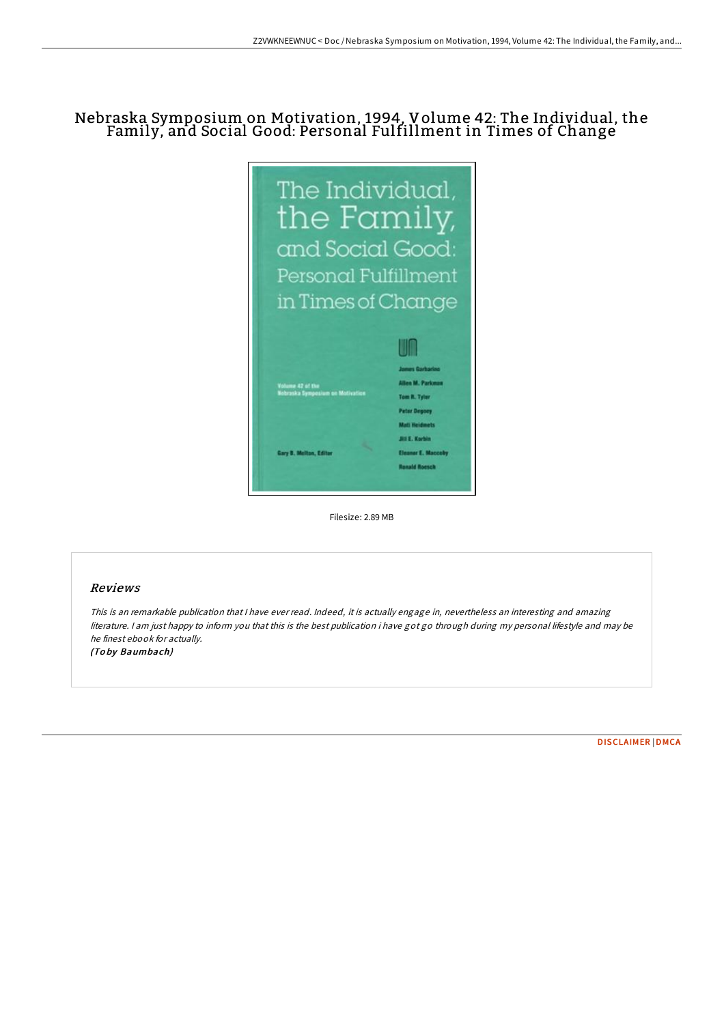## Nebraska Symposium on Motivation, 1994, Volume 42: The Individual, the Family, and Social Good: Personal Fulfillment in Times of Change



Filesize: 2.89 MB

## Reviews

This is an remarkable publication that I have ever read. Indeed, it is actually engage in, nevertheless an interesting and amazing literature. <sup>I</sup> am just happy to inform you that this is the best publication i have got go through during my personal lifestyle and may be he finest ebook for actually. (To by Baumbach)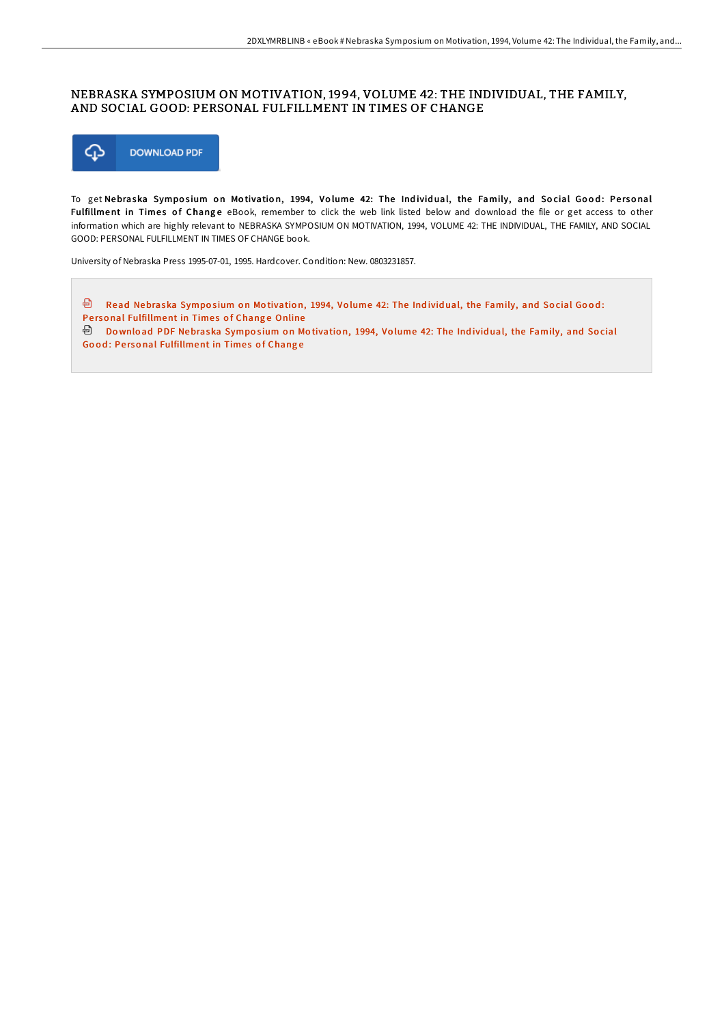## NEBRASKA SYMPOSIUM ON MOTIVATION, 1994, VOLUME 42: THE INDIVIDUAL, THE FAMILY, AND SOCIAL GOOD: PERSONAL FULFILLMENT IN TIMES OF CHANGE



To get Nebraska Symposium on Motivation, 1994, Volume 42: The Individual, the Family, and Social Good: Personal Fulfillment in Times of Change eBook, remember to click the web link listed below and download the file or get access to other information which are highly relevant to NEBRASKA SYMPOSIUM ON MOTIVATION, 1994, VOLUME 42: THE INDIVIDUAL, THE FAMILY, AND SOCIAL GOOD: PERSONAL FULFILLMENT IN TIMES OF CHANGE book.

University of Nebraska Press 1995-07-01, 1995. Hardcover. Condition: New. 0803231857.